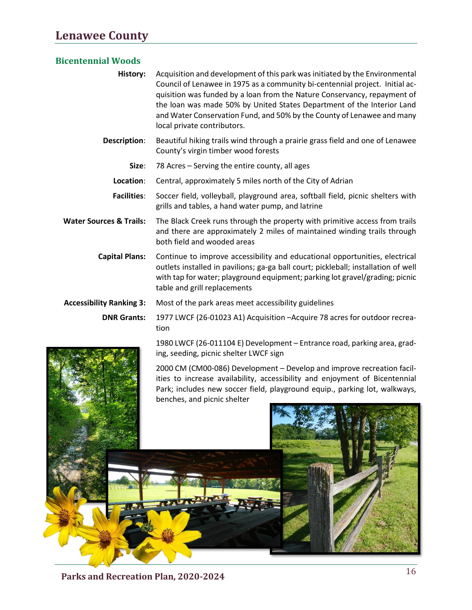## **Lenawee County**

## **Bicentennial Woods**

| History: | Acquisition and development of this park was initiated by the Environmental  |
|----------|------------------------------------------------------------------------------|
|          | Council of Lenawee in 1975 as a community bi-centennial project. Initial ac- |
|          | quisition was funded by a loan from the Nature Conservancy, repayment of     |
|          | the loan was made 50% by United States Department of the Interior Land       |
|          | and Water Conservation Fund, and 50% by the County of Lenawee and many       |
|          | local private contributors.                                                  |

- **Description**: Beautiful hiking trails wind through a prairie grass field and one of Lenawee County's virgin timber wood forests
	- **Size**: 78 Acres Serving the entire county, all ages
	- **Location**: Central, approximately 5 miles north of the City of Adrian

**Facilities**: Soccer field, volleyball, playground area, softball field, picnic shelters with grills and tables, a hand water pump, and latrine

**Water Sources & Trails:** The Black Creek runs through the property with primitive access from trails and there are approximately 2 miles of maintained winding trails through both field and wooded areas

**Capital Plans:** Continue to improve accessibility and educational opportunities, electrical outlets installed in pavilions; ga-ga ball court; pickleball; installation of well with tap for water; playground equipment; parking lot gravel/grading; picnic table and grill replacements

**Accessibility Ranking 3:** Most of the park areas meet accessibility guidelines

**DNR Grants:** 1977 LWCF (26-01023 A1) Acquisition –Acquire 78 acres for outdoor recreation

> 1980 LWCF (26-011104 E) Development – Entrance road, parking area, grading, seeding, picnic shelter LWCF sign

> 2000 CM (CM00-086) Development – Develop and improve recreation facilities to increase availability, accessibility and enjoyment of Bicentennial Park; includes new soccer field, playground equip., parking lot, walkways, benches, and picnic shelter



<sup>16</sup> **Parks and Recreation Plan, 2020-2024**